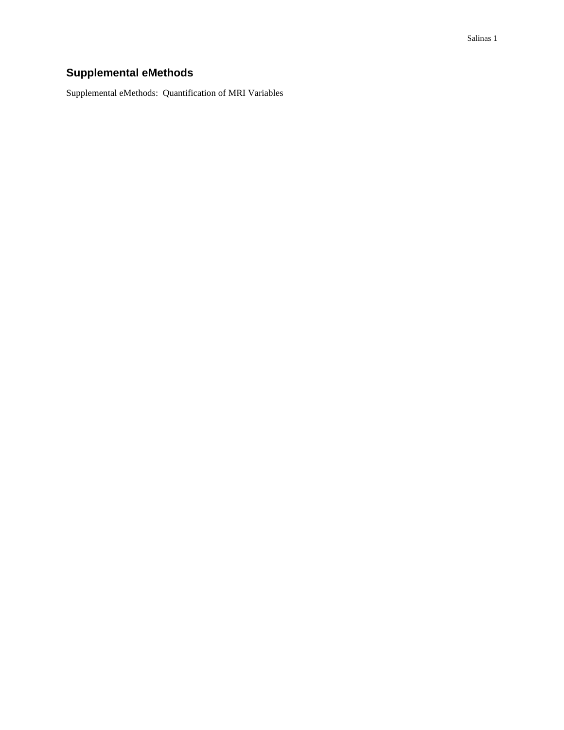# **Supplemental eMethods**

Supplemental eMethods: Quantification of MRI Variables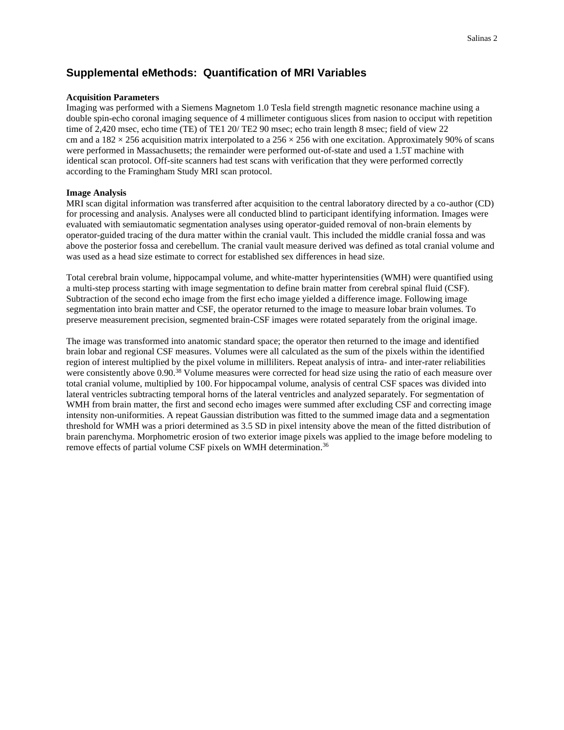#### **Supplemental eMethods: Quantification of MRI Variables**

#### **Acquisition Parameters**

Imaging was performed with a Siemens Magnetom 1.0 Tesla field strength magnetic resonance machine using a double spin-echo coronal imaging sequence of 4 millimeter contiguous slices from nasion to occiput with repetition time of 2,420 msec, echo time (TE) of TE1 20/ TE2 90 msec; echo train length 8 msec; field of view 22 cm and a  $182 \times 256$  acquisition matrix interpolated to a  $256 \times 256$  with one excitation. Approximately 90% of scans were performed in Massachusetts; the remainder were performed out-of-state and used a 1.5T machine with identical scan protocol. Off-site scanners had test scans with verification that they were performed correctly according to the Framingham Study MRI scan protocol.

#### **Image Analysis**

MRI scan digital information was transferred after acquisition to the central laboratory directed by a co-author (CD) for processing and analysis. Analyses were all conducted blind to participant identifying information. Images were evaluated with semiautomatic segmentation analyses using operator-guided removal of non-brain elements by operator-guided tracing of the dura matter within the cranial vault. This included the middle cranial fossa and was above the posterior fossa and cerebellum. The cranial vault measure derived was defined as total cranial volume and was used as a head size estimate to correct for established sex differences in head size.

Total cerebral brain volume, hippocampal volume, and white-matter hyperintensities (WMH) were quantified using a multi-step process starting with image segmentation to define brain matter from cerebral spinal fluid (CSF). Subtraction of the second echo image from the first echo image yielded a difference image. Following image segmentation into brain matter and CSF, the operator returned to the image to measure lobar brain volumes. To preserve measurement precision, segmented brain-CSF images were rotated separately from the original image.

The image was transformed into anatomic standard space; the operator then returned to the image and identified brain lobar and regional CSF measures. Volumes were all calculated as the sum of the pixels within the identified region of interest multiplied by the pixel volume in milliliters. Repeat analysis of intra- and inter-rater reliabilities were consistently above 0.90.<sup>38</sup> Volume measures were corrected for head size using the ratio of each measure over total cranial volume, multiplied by 100. For hippocampal volume, analysis of central CSF spaces was divided into lateral ventricles subtracting temporal horns of the lateral ventricles and analyzed separately. For segmentation of WMH from brain matter, the first and second echo images were summed after excluding CSF and correcting image intensity non-uniformities. A repeat Gaussian distribution was fitted to the summed image data and a segmentation threshold for WMH was a priori determined as 3.5 SD in pixel intensity above the mean of the fitted distribution of brain parenchyma. Morphometric erosion of two exterior image pixels was applied to the image before modeling to remove effects of partial volume CSF pixels on WMH determination.<sup>36</sup>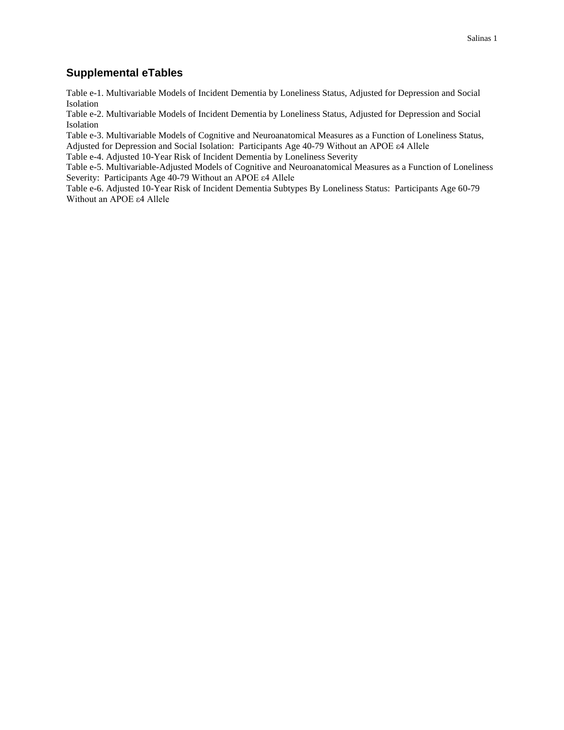#### **Supplemental eTables**

Table e-1. Multivariable Models of Incident Dementia by Loneliness Status, Adjusted for Depression and Social Isolation

Table e-2. Multivariable Models of Incident Dementia by Loneliness Status, Adjusted for Depression and Social Isolation

Table e-3. Multivariable Models of Cognitive and Neuroanatomical Measures as a Function of Loneliness Status, Adjusted for Depression and Social Isolation: Participants Age 40-79 Without an APOE ε4 Allele

Table e-4. Adjusted 10-Year Risk of Incident Dementia by Loneliness Severity

Table e-5. Multivariable-Adjusted Models of Cognitive and Neuroanatomical Measures as a Function of Loneliness Severity: Participants Age 40-79 Without an APOE ε4 Allele

Table e-6. Adjusted 10-Year Risk of Incident Dementia Subtypes By Loneliness Status: Participants Age 60-79 Without an APOE ε4 Allele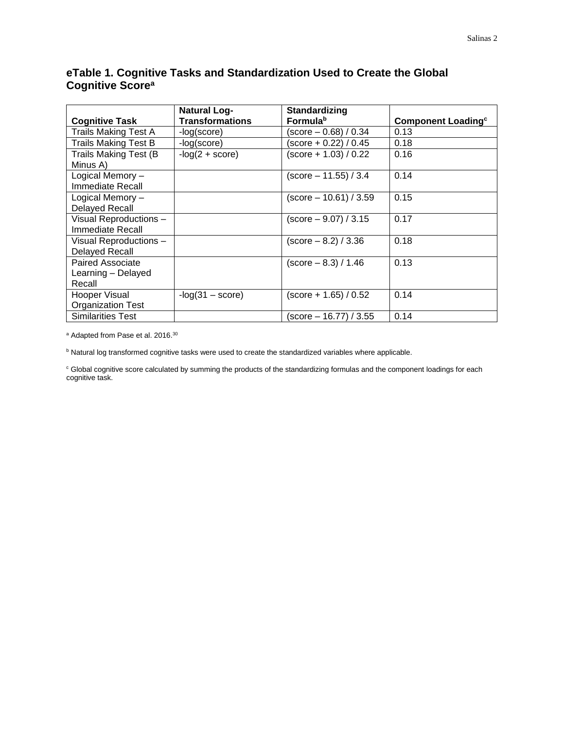### **eTable 1. Cognitive Tasks and Standardization Used to Create the Global Cognitive Score<sup>a</sup>**

| <b>Cognitive Task</b>                            | <b>Natural Log-</b><br><b>Transformations</b> | <b>Standardizing</b><br><b>Formula</b> <sup>b</sup> | <b>Component Loading<sup>c</sup></b> |
|--------------------------------------------------|-----------------------------------------------|-----------------------------------------------------|--------------------------------------|
| <b>Trails Making Test A</b>                      | -log(score)                                   | (score – 0.68) / 0.34                               | 0.13                                 |
| <b>Trails Making Test B</b>                      | -log(score)                                   | (score + 0.22) / 0.45                               | 0.18                                 |
| Trails Making Test (B)<br>Minus A)               | $-log(2 + score)$                             | (score + 1.03) / 0.22                               | 0.16                                 |
| Logical Memory -<br>Immediate Recall             |                                               | (score – 11.55) / 3.4                               | 0.14                                 |
| Logical Memory -<br><b>Delayed Recall</b>        |                                               | $(score - 10.61) / 3.59$                            | 0.15                                 |
| Visual Reproductions -<br>Immediate Recall       |                                               | (score – 9.07) / 3.15                               | 0.17                                 |
| Visual Reproductions -<br><b>Delayed Recall</b>  |                                               | (score – 8.2) / 3.36                                | 0.18                                 |
| Paired Associate<br>Learning - Delayed<br>Recall |                                               | $(\text{score} - 8.3) / 1.46$                       | 0.13                                 |
| Hooper Visual<br><b>Organization Test</b>        | $-log(31 - score)$                            | (score + 1.65) / 0.52                               | 0.14                                 |
| <b>Similarities Test</b>                         |                                               | (score – 16.77) / 3.55                              | 0.14                                 |

a Adapted from Pase et al. 2016.<sup>30</sup>

**b** Natural log transformed cognitive tasks were used to create the standardized variables where applicable.

<sup>c</sup> Global cognitive score calculated by summing the products of the standardizing formulas and the component loadings for each cognitive task.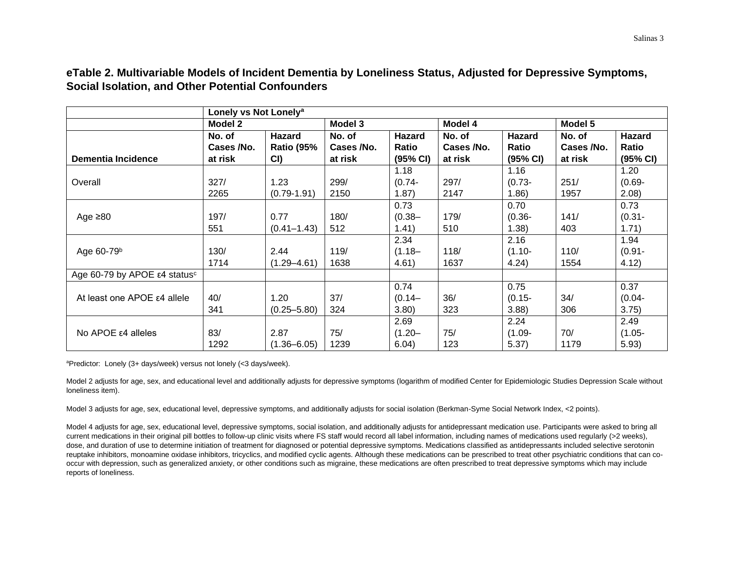**eTable 2. Multivariable Models of Incident Dementia by Loneliness Status, Adjusted for Depressive Symptoms, Social Isolation, and Other Potential Confounders**

|                                          | Lonely vs Not Lonely <sup>a</sup> |                   |            |               |            |              |            |           |
|------------------------------------------|-----------------------------------|-------------------|------------|---------------|------------|--------------|------------|-----------|
|                                          | Model 2                           |                   | Model 3    |               | Model 4    |              | Model 5    |           |
|                                          | No. of                            | Hazard            | No. of     | <b>Hazard</b> | No. of     | Hazard       | No. of     | Hazard    |
|                                          | Cases /No.                        | <b>Ratio (95%</b> | Cases /No. | Ratio         | Cases /No. | <b>Ratio</b> | Cases /No. | Ratio     |
| Dementia Incidence                       | at risk                           | CI)               | at risk    | (95% CI)      | at risk    | (95% CI)     | at risk    | (95% CI)  |
|                                          |                                   |                   |            | 1.18          |            | 1.16         |            | 1.20      |
| Overall                                  | 327/                              | 1.23              | 299/       | $(0.74 -$     | 297/       | $(0.73 -$    | 251/       | $(0.69 -$ |
|                                          | 2265                              | $(0.79 - 1.91)$   | 2150       | 1.87)         | 2147       | 1.86)        | 1957       | 2.08)     |
|                                          |                                   |                   |            | 0.73          |            | 0.70         |            | 0.73      |
| Age $\geq 80$                            | 197/                              | 0.77              | 180/       | $(0.38 -$     | 179/       | $(0.36 -$    | 141/       | $(0.31 -$ |
|                                          | 551                               | $(0.41 - 1.43)$   | 512        | 1.41)         | 510        | (1.38)       | 403        | 1.71)     |
|                                          |                                   |                   |            | 2.34          |            | 2.16         |            | 1.94      |
| Age 60-79 <sup>b</sup>                   | 130/                              | 2.44              | 119/       | $(1.18 -$     | 118/       | $(1.10 -$    | 110/       | $(0.91 -$ |
|                                          | 1714                              | $(1.29 - 4.61)$   | 1638       | 4.61)         | 1637       | 4.24)        | 1554       | 4.12)     |
| Age 60-79 by APOE ε4 status <sup>c</sup> |                                   |                   |            |               |            |              |            |           |
|                                          |                                   |                   |            | 0.74          |            | 0.75         |            | 0.37      |
| At least one APOE ε4 allele              | 40/                               | 1.20              | 37/        | $(0.14 -$     | 36/        | $(0.15 -$    | 34/        | $(0.04 -$ |
|                                          | 341                               | $(0.25 - 5.80)$   | 324        | 3.80)         | 323        | 3.88         | 306        | 3.75)     |
|                                          |                                   |                   |            | 2.69          |            | 2.24         |            | 2.49      |
| No APOE $ε$ 4 alleles                    | 83/                               | 2.87              | 75/        | $(1.20 -$     | 75/        | $(1.09 -$    | 70/        | $(1.05 -$ |
|                                          | 1292                              | $(1.36 - 6.05)$   | 1239       | 6.04)         | 123        | 5.37)        | 1179       | 5.93)     |

<sup>a</sup>Predictor: Lonely (3+ days/week) versus not lonely (<3 days/week).

Model 2 adjusts for age, sex, and educational level and additionally adjusts for depressive symptoms (logarithm of modified Center for Epidemiologic Studies Depression Scale without loneliness item).

Model 3 adjusts for age, sex, educational level, depressive symptoms, and additionally adjusts for social isolation (Berkman-Syme Social Network Index, <2 points).

Model 4 adjusts for age, sex, educational level, depressive symptoms, social isolation, and additionally adjusts for antidepressant medication use. Participants were asked to bring all current medications in their original pill bottles to follow-up clinic visits where FS staff would record all label information, including names of medications used regularly (>2 weeks), dose, and duration of use to determine initiation of treatment for diagnosed or potential depressive symptoms. Medications classified as antidepressants included selective serotonin reuptake inhibitors, monoamine oxidase inhibitors, tricyclics, and modified cyclic agents. Although these medications can be prescribed to treat other psychiatric conditions that can cooccur with depression, such as generalized anxiety, or other conditions such as migraine, these medications are often prescribed to treat depressive symptoms which may include reports of loneliness.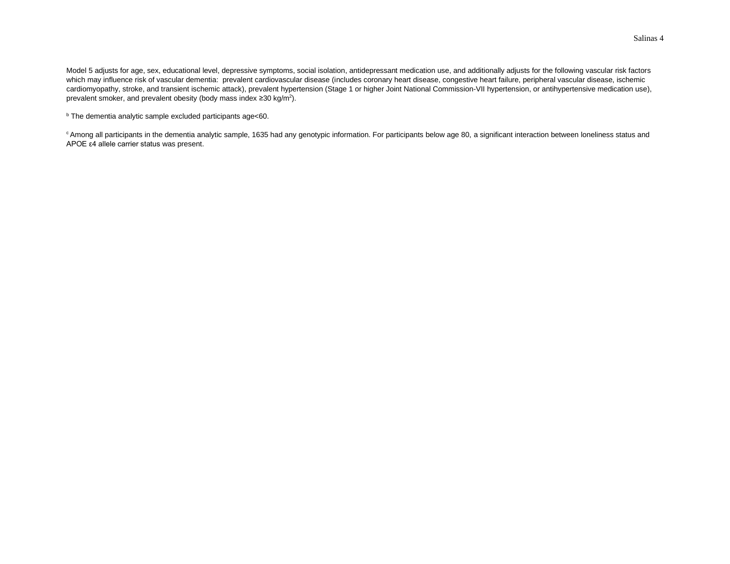Model 5 adjusts for age, sex, educational level, depressive symptoms, social isolation, antidepressant medication use, and additionally adjusts for the following vascular risk factors which may influence risk of vascular dementia: prevalent cardiovascular disease (includes coronary heart disease, congestive heart failure, peripheral vascular disease, ischemic cardiomyopathy, stroke, and transient ischemic attack), prevalent hypertension (Stage 1 or higher Joint National Commission-VII hypertension, or antihypertensive medication use), prevalent smoker, and prevalent obesity (body mass index  $\geq 30$  kg/m<sup>2</sup>).

<sup>b</sup> The dementia analytic sample excluded participants age<60.

<sup>c</sup> Among all participants in the dementia analytic sample, 1635 had any genotypic information. For participants below age 80, a significant interaction between loneliness status and APOE ε4 allele carrier status was present.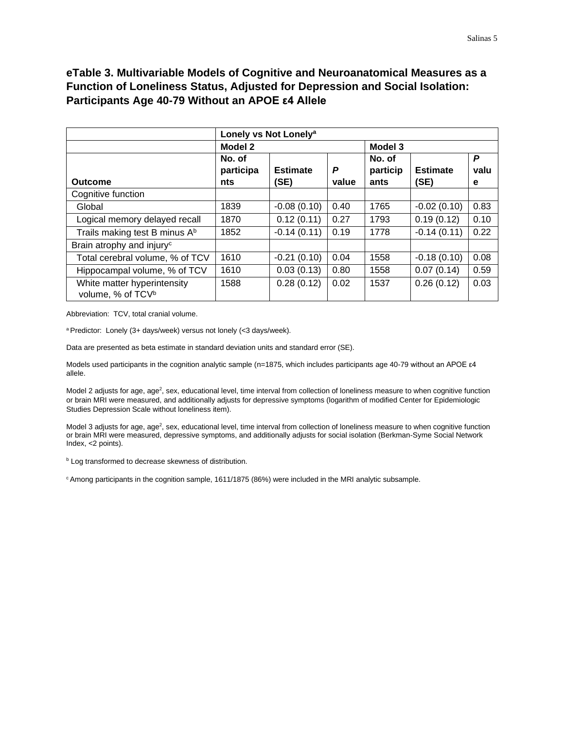### **eTable 3. Multivariable Models of Cognitive and Neuroanatomical Measures as a Function of Loneliness Status, Adjusted for Depression and Social Isolation: Participants Age 40-79 Without an APOE ε4 Allele**

|                                                              | Lonely vs Not Lonely <sup>a</sup> |                         |            |                            |                         |                |
|--------------------------------------------------------------|-----------------------------------|-------------------------|------------|----------------------------|-------------------------|----------------|
|                                                              | Model 2                           |                         | Model 3    |                            |                         |                |
| Outcome                                                      | No. of<br>participa<br>nts        | <b>Estimate</b><br>(SE) | P<br>value | No. of<br>particip<br>ants | <b>Estimate</b><br>(SE) | P<br>valu<br>е |
| Cognitive function                                           |                                   |                         |            |                            |                         |                |
| Global                                                       | 1839                              | $-0.08(0.10)$           | 0.40       | 1765                       | $-0.02(0.10)$           | 0.83           |
| Logical memory delayed recall                                | 1870                              | 0.12(0.11)              | 0.27       | 1793                       | 0.19(0.12)              | 0.10           |
| Trails making test B minus A <sup>b</sup>                    | 1852                              | $-0.14(0.11)$           | 0.19       | 1778                       | $-0.14(0.11)$           | 0.22           |
| Brain atrophy and injury <sup>c</sup>                        |                                   |                         |            |                            |                         |                |
| Total cerebral volume, % of TCV                              | 1610                              | $-0.21(0.10)$           | 0.04       | 1558                       | $-0.18(0.10)$           | 0.08           |
| Hippocampal volume, % of TCV                                 | 1610                              | 0.03(0.13)              | 0.80       | 1558                       | 0.07(0.14)              | 0.59           |
| White matter hyperintensity<br>volume, % of TCV <sup>b</sup> | 1588                              | 0.28(0.12)              | 0.02       | 1537                       | 0.26(0.12)              | 0.03           |

Abbreviation: TCV, total cranial volume.

<sup>a</sup> Predictor: Lonely (3+ days/week) versus not lonely (<3 days/week).

Data are presented as beta estimate in standard deviation units and standard error (SE).

Models used participants in the cognition analytic sample (n=1875, which includes participants age 40-79 without an APOE ε4 allele.

Model 2 adjusts for age, age<sup>2</sup>, sex, educational level, time interval from collection of loneliness measure to when cognitive function or brain MRI were measured, and additionally adjusts for depressive symptoms (logarithm of modified Center for Epidemiologic Studies Depression Scale without loneliness item).

Model 3 adjusts for age, age<sup>2</sup>, sex, educational level, time interval from collection of loneliness measure to when cognitive function or brain MRI were measured, depressive symptoms, and additionally adjusts for social isolation (Berkman-Syme Social Network Index, <2 points).

**b** Log transformed to decrease skewness of distribution.

<sup>c</sup> Among participants in the cognition sample, 1611/1875 (86%) were included in the MRI analytic subsample.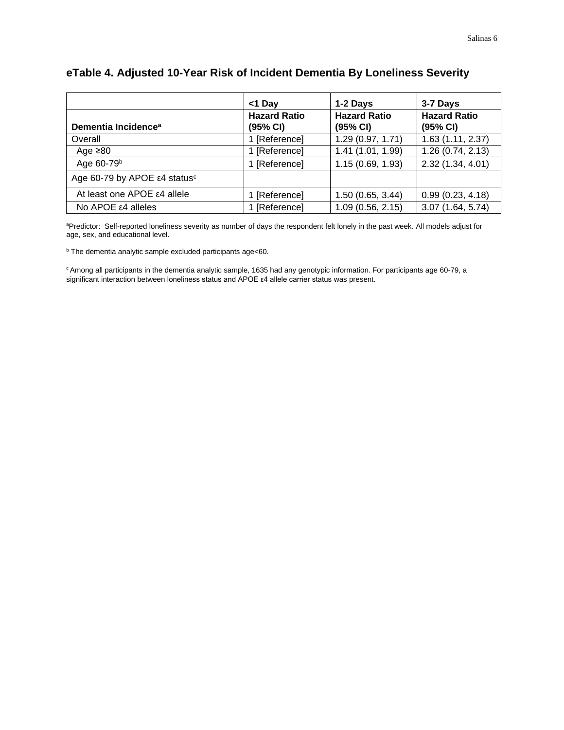|                                          | <1 Day                          | 1-2 Days                        | 3-7 Days                        |
|------------------------------------------|---------------------------------|---------------------------------|---------------------------------|
| Dementia Incidence <sup>a</sup>          | <b>Hazard Ratio</b><br>(95% CI) | <b>Hazard Ratio</b><br>(95% CI) | <b>Hazard Ratio</b><br>(95% CI) |
| Overall                                  | 1 [Reference]                   | 1.29 (0.97, 1.71)               | 1.63(1.11, 2.37)                |
| Age $\geq 80$                            | 1 [Reference]                   | 1.41 (1.01, 1.99)               | 1.26(0.74, 2.13)                |
| Age 60-79 <sup>b</sup>                   | 1 [Reference]                   | 1.15 (0.69, 1.93)               | 2.32 (1.34, 4.01)               |
| Age 60-79 by APOE ε4 status <sup>c</sup> |                                 |                                 |                                 |
| At least one APOE ε4 allele              | 1 [Reference]                   | 1.50 (0.65, 3.44)               | 0.99(0.23, 4.18)                |
| $No$ APOE ε4 alleles                     | 1 [Reference]                   | 1.09(0.56, 2.15)                | 3.07(1.64, 5.74)                |

# **eTable 4. Adjusted 10-Year Risk of Incident Dementia By Loneliness Severity**

aPredictor: Self-reported loneliness severity as number of days the respondent felt lonely in the past week. All models adjust for age, sex, and educational level.

<sup>b</sup> The dementia analytic sample excluded participants age<60.

<sup>c</sup> Among all participants in the dementia analytic sample, 1635 had any genotypic information. For participants age 60-79, a significant interaction between loneliness status and APOE ε4 allele carrier status was present.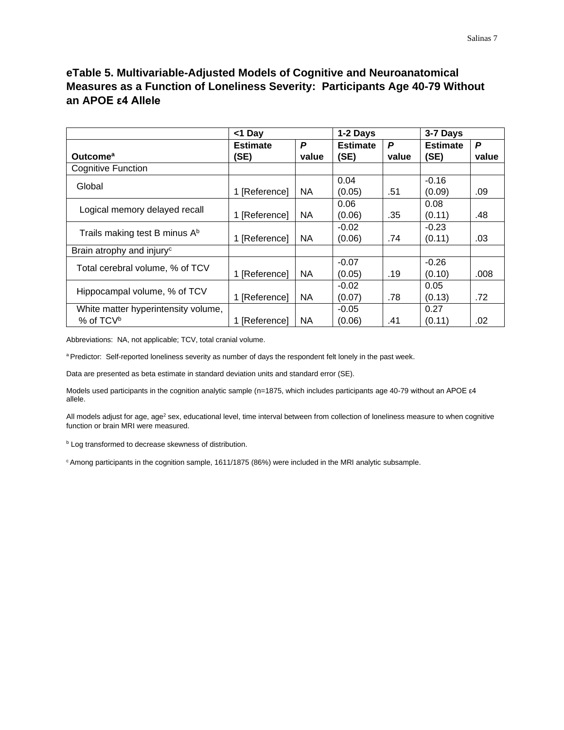## **eTable 5. Multivariable-Adjusted Models of Cognitive and Neuroanatomical Measures as a Function of Loneliness Severity: Participants Age 40-79 Without an APOE ε4 Allele**

|                                           | <1 Day          | 1-2 Days  |                 | 3-7 Days |                 |       |
|-------------------------------------------|-----------------|-----------|-----------------|----------|-----------------|-------|
|                                           | <b>Estimate</b> | P         | <b>Estimate</b> | P        | <b>Estimate</b> | P     |
| Outcome <sup>a</sup>                      | (SE)            | value     | (SE)            | value    | (SE)            | value |
| <b>Cognitive Function</b>                 |                 |           |                 |          |                 |       |
| Global                                    |                 |           | 0.04            |          | $-0.16$         |       |
|                                           | 1 [Reference]   | <b>NA</b> | (0.05)          | .51      | (0.09)          | .09   |
| Logical memory delayed recall             |                 |           | 0.06            |          | 0.08            |       |
|                                           | 1 [Reference]   | NA.       | (0.06)          | .35      | (0.11)          | .48   |
| Trails making test B minus A <sup>b</sup> |                 |           | $-0.02$         |          | $-0.23$         |       |
|                                           | 1 [Reference]   | <b>NA</b> | (0.06)          | .74      | (0.11)          | .03   |
| Brain atrophy and injury <sup>c</sup>     |                 |           |                 |          |                 |       |
| Total cerebral volume, % of TCV           |                 |           | $-0.07$         |          | $-0.26$         |       |
|                                           | 1 [Reference]   | <b>NA</b> | (0.05)          | .19      | (0.10)          | .008  |
| Hippocampal volume, % of TCV              |                 |           | $-0.02$         |          | 0.05            |       |
|                                           | 1 [Reference]   | <b>NA</b> | (0.07)          | .78      | (0.13)          | .72   |
| White matter hyperintensity volume,       |                 |           | $-0.05$         |          | 0.27            |       |
| % of TCV <sup>b</sup>                     | 1 [Reference]   | NA.       | (0.06)          | .41      | (0.11)          | .02   |

Abbreviations: NA, not applicable; TCV, total cranial volume.

a Predictor: Self-reported loneliness severity as number of days the respondent felt lonely in the past week.

Data are presented as beta estimate in standard deviation units and standard error (SE).

Models used participants in the cognition analytic sample (n=1875, which includes participants age 40-79 without an APOE ε4 allele.

All models adjust for age, age<sup>2</sup> sex, educational level, time interval between from collection of loneliness measure to when cognitive function or brain MRI were measured.

**b** Log transformed to decrease skewness of distribution.

<sup>c</sup> Among participants in the cognition sample, 1611/1875 (86%) were included in the MRI analytic subsample.